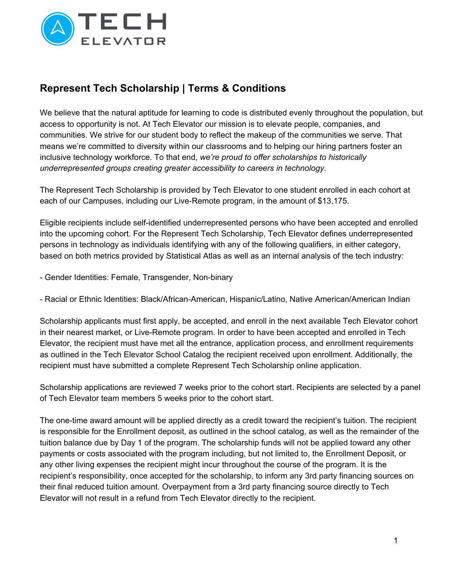

## **Represent Tech Scholarship | Terms & Conditions**

We believe that the natural aptitude for learning to code is distributed evenly throughout the population, but access to opportunity is not. At Tech Elevator our mission is to elevate people, companies, and communities. We strive for our student body to reflect the makeup of the communities we serve. That means we're committed to diversity within our classrooms and to helping our hiring partners foster an inclusive technology workforce. To that end, *we're proud to offer scholarships to historically underrepresented groups creating greater accessibility to careers in technology.*

The Represent Tech Scholarship is provided by Tech Elevator to one student enrolled in each cohort at each of our Campuses, including our Live-Remote program, in the amount of \$13,175.

Eligible recipients include self-identified underrepresented persons who have been accepted and enrolled into the upcoming cohort. For the Represent Tech Scholarship, Tech Elevator defines underrepresented persons in technology as individuals identifying with any of the following qualifiers, in either category, based on both metrics provided by Statistical Atlas as well as an internal analysis of the tech industry:

- Gender Identities: Female, Transgender, Non-binary

- Racial or Ethnic Identities: Black/African-American, Hispanic/Latino, Native American/American Indian

Scholarship applicants must first apply, be accepted, and enroll in the next available Tech Elevator cohort in their nearest market, or Live-Remote program. In order to have been accepted and enrolled in Tech Elevator, the recipient must have met all the entrance, application process, and enrollment requirements as outlined in the Tech Elevator School Catalog the recipient received upon enrollment. Additionally, the recipient must have submitted a complete Represent Tech Scholarship online application.

Scholarship applications are reviewed 7 weeks prior to the cohort start. Recipients are selected by a panel of Tech Elevator team members 5 weeks prior to the cohort start.

The one-time award amount will be applied directly as a credit toward the recipient's tuition. The recipient is responsible for the Enrollment deposit, as outlined in the school catalog, as well as the remainder of the tuition balance due by Day 1 of the program. The scholarship funds will not be applied toward any other payments or costs associated with the program including, but not limited to, the Enrollment Deposit, or any other living expenses the recipient might incur throughout the course of the program. It is the recipient's responsibility, once accepted for the scholarship, to inform any 3rd party financing sources on their final reduced tuition amount. Overpayment from a 3rd party financing source directly to Tech Elevator will not result in a refund from Tech Elevator directly to the recipient.